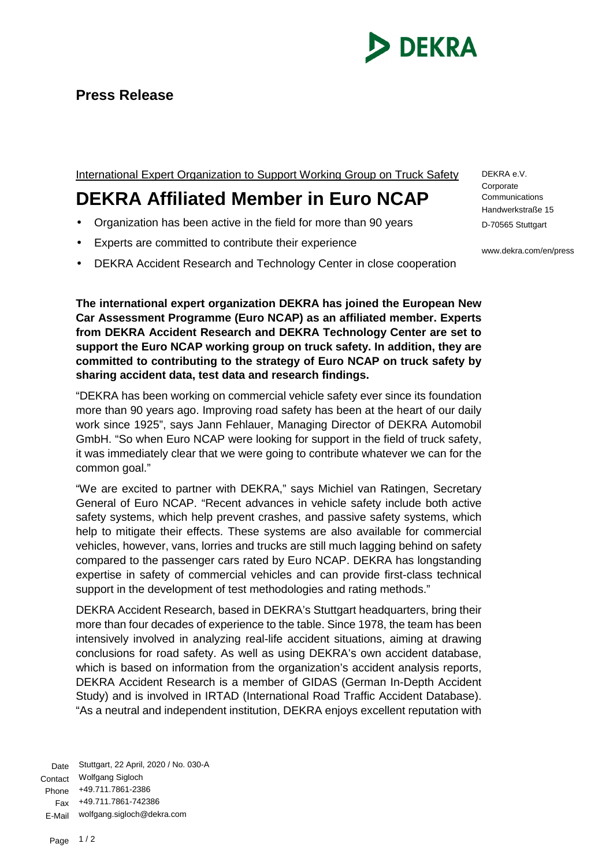

International Expert Organization to Support Working Group on Truck Safety

## **DEKRA Affiliated Member in Euro NCAP**

- Organization has been active in the field for more than 90 years
- Experts are committed to contribute their experience
- DEKRA Accident Research and Technology Center in close cooperation

**The international expert organization DEKRA has joined the European New Car Assessment Programme (Euro NCAP) as an affiliated member. Experts from DEKRA Accident Research and DEKRA Technology Center are set to support the Euro NCAP working group on truck safety. In addition, they are committed to contributing to the strategy of Euro NCAP on truck safety by sharing accident data, test data and research findings.**

"DEKRA has been working on commercial vehicle safety ever since its foundation more than 90 years ago. Improving road safety has been at the heart of our daily work since 1925", says Jann Fehlauer, Managing Director of DEKRA Automobil GmbH. "So when Euro NCAP were looking for support in the field of truck safety, it was immediately clear that we were going to contribute whatever we can for the common goal."

"We are excited to partner with DEKRA," says Michiel van Ratingen, Secretary General of Euro NCAP. "Recent advances in vehicle safety include both active safety systems, which help prevent crashes, and passive safety systems, which help to mitigate their effects. These systems are also available for commercial vehicles, however, vans, lorries and trucks are still much lagging behind on safety compared to the passenger cars rated by Euro NCAP. DEKRA has longstanding expertise in safety of commercial vehicles and can provide first-class technical support in the development of test methodologies and rating methods."

DEKRA Accident Research, based in DEKRA's Stuttgart headquarters, bring their more than four decades of experience to the table. Since 1978, the team has been intensively involved in analyzing real-life accident situations, aiming at drawing conclusions for road safety. As well as using DEKRA's own accident database, which is based on information from the organization's accident analysis reports, DEKRA Accident Research is a member of GIDAS (German In-Depth Accident Study) and is involved in IRTAD (International Road Traffic Accident Database). "As a neutral and independent institution, DEKRA enjoys excellent reputation with

Date Stuttgart, 22 April, 2020 / No. 030-A Contact Wolfgang Sigloch Phone +49.711.7861-2386 Fax +49.711.7861-742386 E-Mail wolfgang.sigloch@dekra.com

DEKRA e.V. **Corporate Communications** Handwerkstraße 15 D-70565 Stuttgart

www.dekra.com/en/press